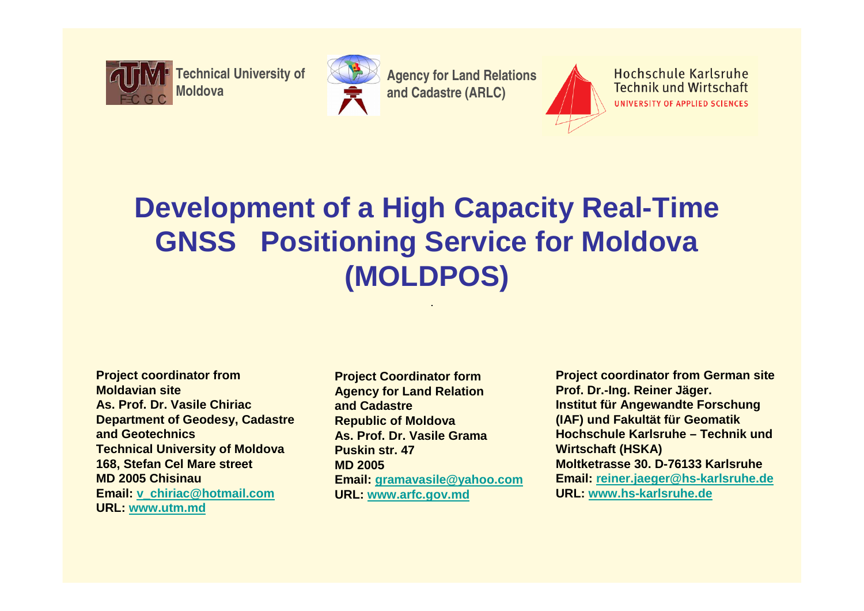

**Technical University of** 



**Agency for Land Relations and Cadastre (ARLC)** 



Hochschule Karlsruhe **Technik und Wirtschaft** UNIVERSITY OF APPLIED SCIENCES

# **Development of a High Capacity Real-Time GNSS Positioning Service for Moldova(MOLDPOS)**

- **Project coordinator from Moldavian site As. Prof. Dr. Vasile Chiriac Department of Geodesy, Cadastre and Geotechnics Technical University of Moldova168, Stefan Cel Mare streetMD 2005 Chisinau Email: v\_chiriac@hotmail.comURL: www.utm.md**
- **Project Coordinator form Agency for Land Relation and Cadastre Republic of Moldova As. Prof. Dr. Vasile GramaPuskin str. 47MD 2005 Email: gramavasile@yahoo.comURL: www.arfc.gov.md**

**Project coordinator from German siteProf. Dr.-Ing. Reiner Jäger.Institut für Angewandte Forschung (IAF) und Fakultät für Geomatik Hochschule Karlsruhe – Technik und Wirtschaft (HSKA) Moltketrasse 30. D-76133 Karlsruhe Email: reiner.jaeger@hs-karlsruhe.deURL: www.hs-karlsruhe.de**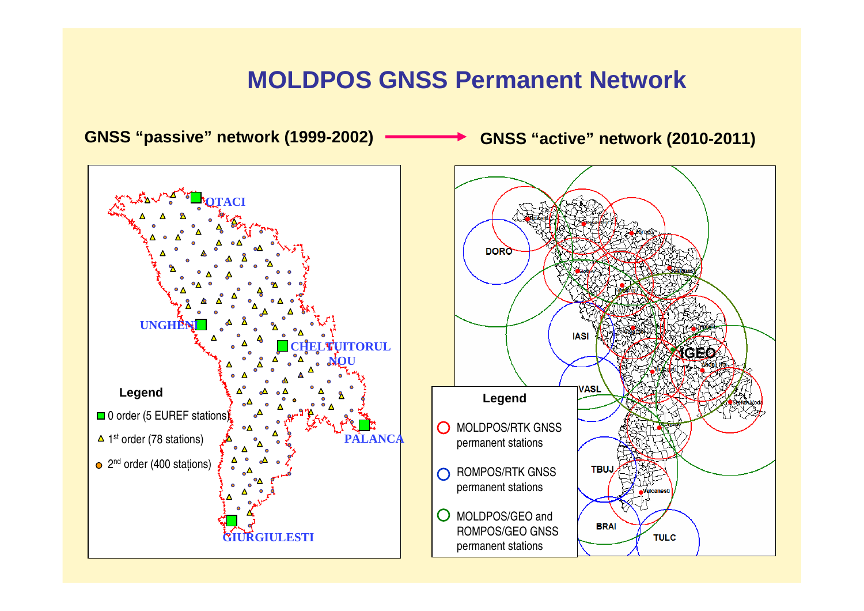#### **MOLDPOS GNSS Permanent Network**

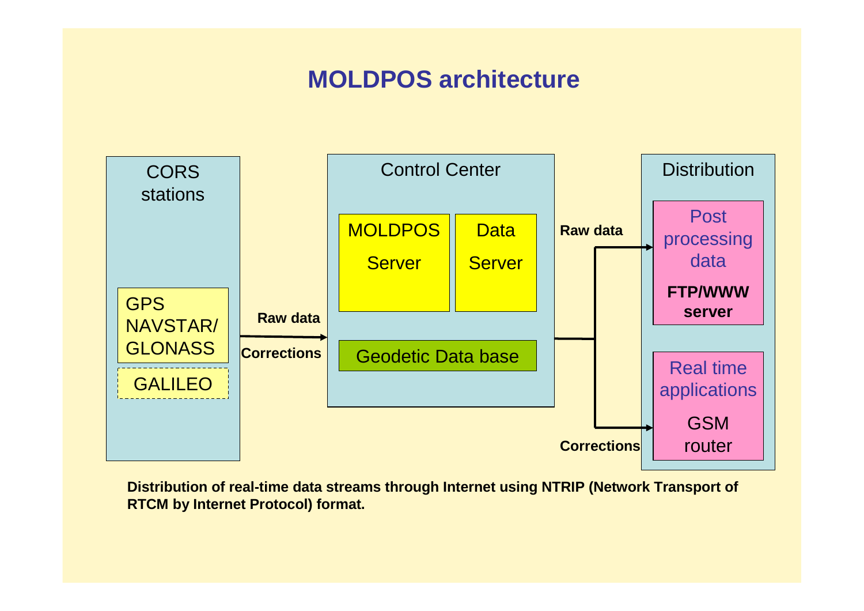## **MOLDPOS architecture**



**Distribution of real-time data streams through Internet using NTRIP (Network Transport of RTCM by Internet Protocol) format.**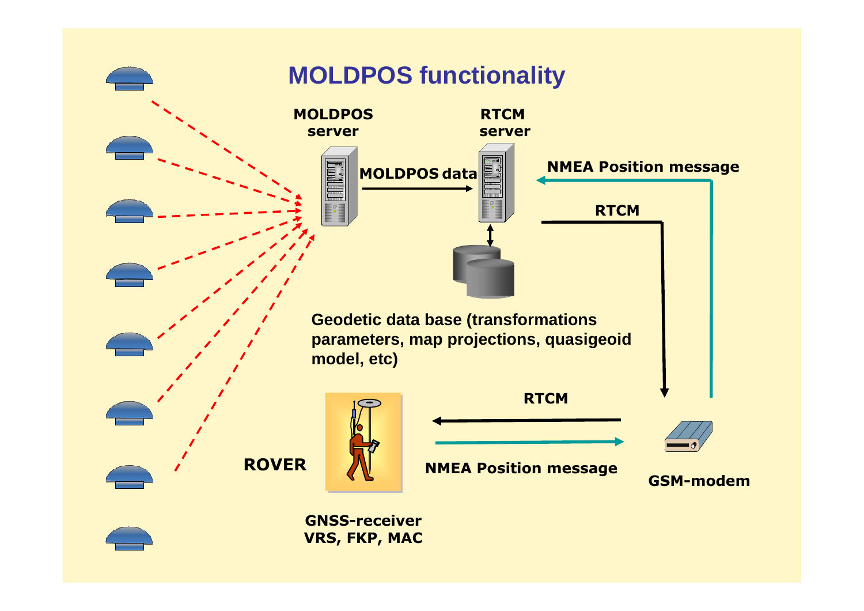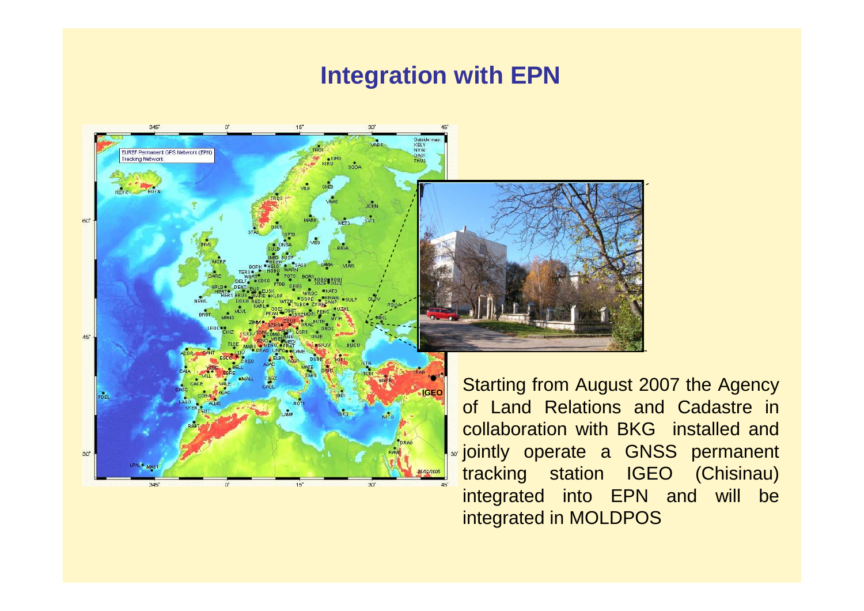#### **Integration with EPN**



 Starting from August 2007 the Agency of Land Relations and Cadastre in collaboration with BKG installed and jointly operate a GNSS permanent tracking station IGEO (Chisinau) integrated into EPN and will be integrated in MOLDPOS